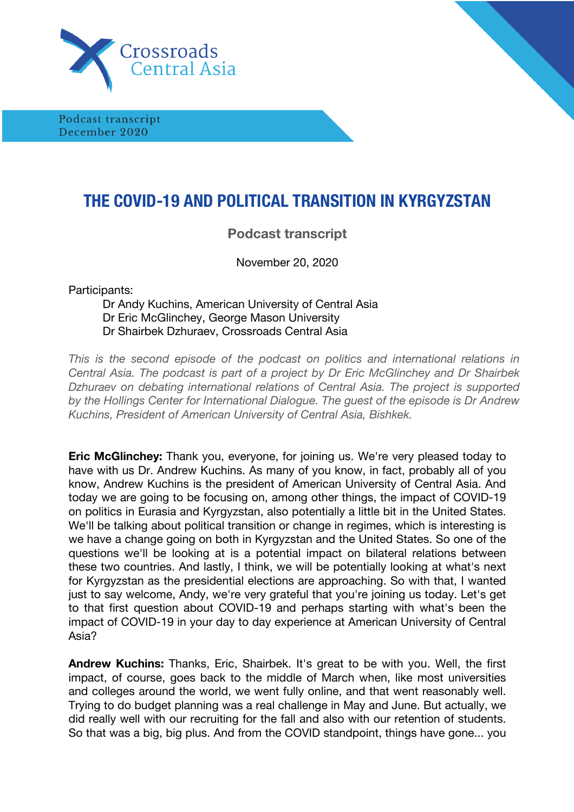

Podcast transcript December 2020

## **THE COVID-19 AND POLITICAL TRANSITION IN KYRGYZSTAN**

## **Podcast transcript**

November 20, 2020

Participants:

## Dr Andy Kuchins, American University of Central Asia Dr Eric McGlinchey, George Mason University Dr Shairbek Dzhuraev, Crossroads Central Asia

*This is the second episode of the podcast on politics and international relations in Central Asia. The podcast is part of a project by Dr Eric McGlinchey and Dr Shairbek Dzhuraev on debating international relations of Central Asia. The project is supported by the Hollings Center for International Dialogue. The guest of the episode is Dr Andrew Kuchins, President of American University of Central Asia, Bishkek.* 

**Eric McGlinchey:** Thank you, everyone, for joining us. We're very pleased today to have with us Dr. Andrew Kuchins. As many of you know, in fact, probably all of you know, Andrew Kuchins is the president of American University of Central Asia. And today we are going to be focusing on, among other things, the impact of COVID-19 on politics in Eurasia and Kyrgyzstan, also potentially a little bit in the United States. We'll be talking about political transition or change in regimes, which is interesting is we have a change going on both in Kyrgyzstan and the United States. So one of the questions we'll be looking at is a potential impact on bilateral relations between these two countries. And lastly, I think, we will be potentially looking at what's next for Kyrgyzstan as the presidential elections are approaching. So with that, I wanted just to say welcome, Andy, we're very grateful that you're joining us today. Let's get to that first question about COVID-19 and perhaps starting with what's been the impact of COVID-19 in your day to day experience at American University of Central Asia?

**Andrew Kuchins:** Thanks, Eric, Shairbek. It's great to be with you. Well, the first impact, of course, goes back to the middle of March when, like most universities and colleges around the world, we went fully online, and that went reasonably well. Trying to do budget planning was a real challenge in May and June. But actually, we did really well with our recruiting for the fall and also with our retention of students. So that was a big, big plus. And from the COVID standpoint, things have gone... you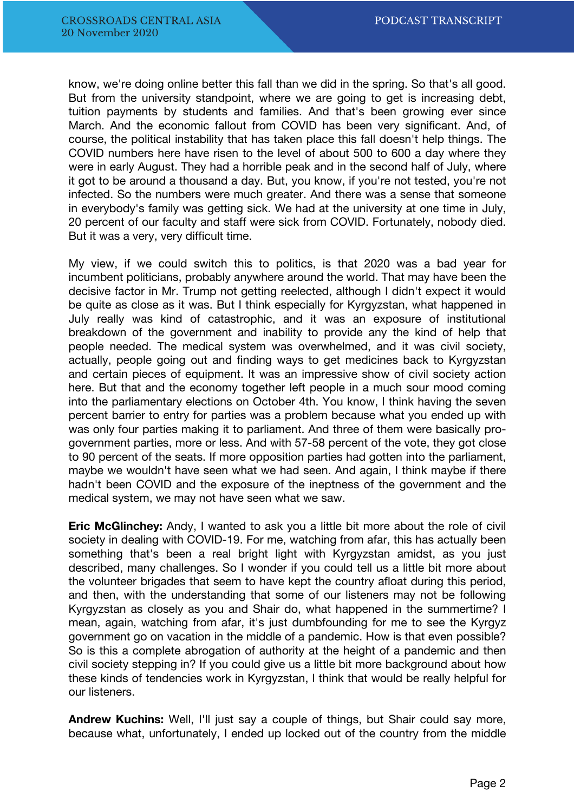know, we're doing online better this fall than we did in the spring. So that's all good. But from the university standpoint, where we are going to get is increasing debt, tuition payments by students and families. And that's been growing ever since March. And the economic fallout from COVID has been very significant. And, of course, the political instability that has taken place this fall doesn't help things. The COVID numbers here have risen to the level of about 500 to 600 a day where they were in early August. They had a horrible peak and in the second half of July, where it got to be around a thousand a day. But, you know, if you're not tested, you're not infected. So the numbers were much greater. And there was a sense that someone in everybody's family was getting sick. We had at the university at one time in July, 20 percent of our faculty and staff were sick from COVID. Fortunately, nobody died. But it was a very, very difficult time.

My view, if we could switch this to politics, is that 2020 was a bad year for incumbent politicians, probably anywhere around the world. That may have been the decisive factor in Mr. Trump not getting reelected, although I didn't expect it would be quite as close as it was. But I think especially for Kyrgyzstan, what happened in July really was kind of catastrophic, and it was an exposure of institutional breakdown of the government and inability to provide any the kind of help that people needed. The medical system was overwhelmed, and it was civil society, actually, people going out and finding ways to get medicines back to Kyrgyzstan and certain pieces of equipment. It was an impressive show of civil society action here. But that and the economy together left people in a much sour mood coming into the parliamentary elections on October 4th. You know, I think having the seven percent barrier to entry for parties was a problem because what you ended up with was only four parties making it to parliament. And three of them were basically progovernment parties, more or less. And with 57-58 percent of the vote, they got close to 90 percent of the seats. If more opposition parties had gotten into the parliament, maybe we wouldn't have seen what we had seen. And again, I think maybe if there hadn't been COVID and the exposure of the ineptness of the government and the medical system, we may not have seen what we saw.

**Eric McGlinchey:** Andy, I wanted to ask you a little bit more about the role of civil society in dealing with COVID-19. For me, watching from afar, this has actually been something that's been a real bright light with Kyrgyzstan amidst, as you just described, many challenges. So I wonder if you could tell us a little bit more about the volunteer brigades that seem to have kept the country afloat during this period, and then, with the understanding that some of our listeners may not be following Kyrgyzstan as closely as you and Shair do, what happened in the summertime? I mean, again, watching from afar, it's just dumbfounding for me to see the Kyrgyz government go on vacation in the middle of a pandemic. How is that even possible? So is this a complete abrogation of authority at the height of a pandemic and then civil society stepping in? If you could give us a little bit more background about how these kinds of tendencies work in Kyrgyzstan, I think that would be really helpful for our listeners.

**Andrew Kuchins:** Well, I'll just say a couple of things, but Shair could say more, because what, unfortunately, I ended up locked out of the country from the middle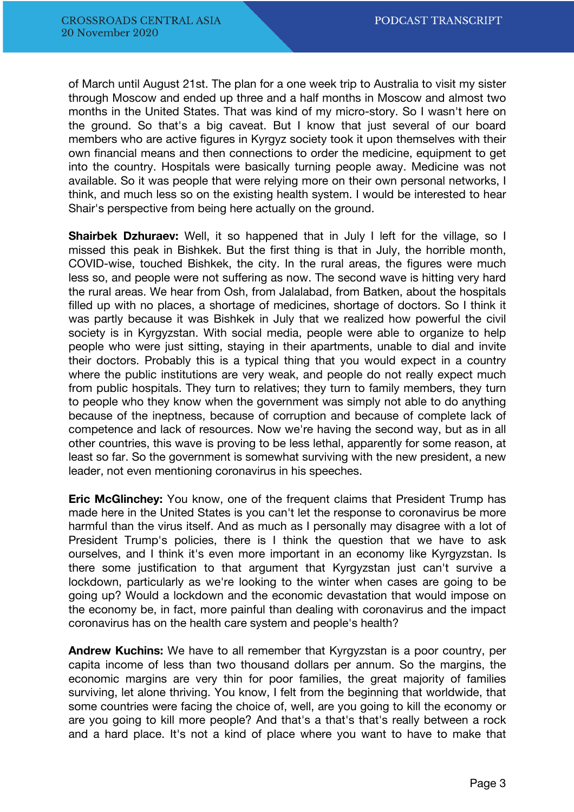of March until August 21st. The plan for a one week trip to Australia to visit my sister through Moscow and ended up three and a half months in Moscow and almost two months in the United States. That was kind of my micro-story. So I wasn't here on the ground. So that's a big caveat. But I know that just several of our board members who are active figures in Kyrgyz society took it upon themselves with their own financial means and then connections to order the medicine, equipment to get into the country. Hospitals were basically turning people away. Medicine was not available. So it was people that were relying more on their own personal networks, I think, and much less so on the existing health system. I would be interested to hear Shair's perspective from being here actually on the ground.

**Shairbek Dzhuraev:** Well, it so happened that in July I left for the village, so I missed this peak in Bishkek. But the first thing is that in July, the horrible month, COVID-wise, touched Bishkek, the city. In the rural areas, the figures were much less so, and people were not suffering as now. The second wave is hitting very hard the rural areas. We hear from Osh, from Jalalabad, from Batken, about the hospitals filled up with no places, a shortage of medicines, shortage of doctors. So I think it was partly because it was Bishkek in July that we realized how powerful the civil society is in Kyrgyzstan. With social media, people were able to organize to help people who were just sitting, staying in their apartments, unable to dial and invite their doctors. Probably this is a typical thing that you would expect in a country where the public institutions are very weak, and people do not really expect much from public hospitals. They turn to relatives; they turn to family members, they turn to people who they know when the government was simply not able to do anything because of the ineptness, because of corruption and because of complete lack of competence and lack of resources. Now we're having the second way, but as in all other countries, this wave is proving to be less lethal, apparently for some reason, at least so far. So the government is somewhat surviving with the new president, a new leader, not even mentioning coronavirus in his speeches.

**Eric McGlinchey:** You know, one of the frequent claims that President Trump has made here in the United States is you can't let the response to coronavirus be more harmful than the virus itself. And as much as I personally may disagree with a lot of President Trump's policies, there is I think the question that we have to ask ourselves, and I think it's even more important in an economy like Kyrgyzstan. Is there some justification to that argument that Kyrgyzstan just can't survive a lockdown, particularly as we're looking to the winter when cases are going to be going up? Would a lockdown and the economic devastation that would impose on the economy be, in fact, more painful than dealing with coronavirus and the impact coronavirus has on the health care system and people's health?

**Andrew Kuchins:** We have to all remember that Kyrgyzstan is a poor country, per capita income of less than two thousand dollars per annum. So the margins, the economic margins are very thin for poor families, the great majority of families surviving, let alone thriving. You know, I felt from the beginning that worldwide, that some countries were facing the choice of, well, are you going to kill the economy or are you going to kill more people? And that's a that's that's really between a rock and a hard place. It's not a kind of place where you want to have to make that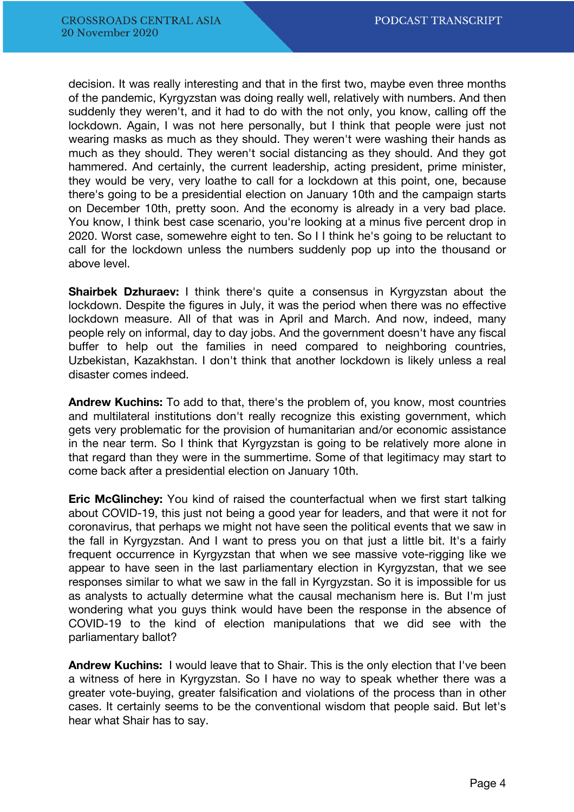decision. It was really interesting and that in the first two, maybe even three months of the pandemic, Kyrgyzstan was doing really well, relatively with numbers. And then suddenly they weren't, and it had to do with the not only, you know, calling off the lockdown. Again, I was not here personally, but I think that people were just not wearing masks as much as they should. They weren't were washing their hands as much as they should. They weren't social distancing as they should. And they got hammered. And certainly, the current leadership, acting president, prime minister, they would be very, very loathe to call for a lockdown at this point, one, because there's going to be a presidential election on January 10th and the campaign starts on December 10th, pretty soon. And the economy is already in a very bad place. You know, I think best case scenario, you're looking at a minus five percent drop in 2020. Worst case, somewehre eight to ten. So I I think he's going to be reluctant to call for the lockdown unless the numbers suddenly pop up into the thousand or above level.

**Shairbek Dzhuraev:** I think there's quite a consensus in Kyrgyzstan about the lockdown. Despite the figures in July, it was the period when there was no effective lockdown measure. All of that was in April and March. And now, indeed, many people rely on informal, day to day jobs. And the government doesn't have any fiscal buffer to help out the families in need compared to neighboring countries, Uzbekistan, Kazakhstan. I don't think that another lockdown is likely unless a real disaster comes indeed.

**Andrew Kuchins:** To add to that, there's the problem of, you know, most countries and multilateral institutions don't really recognize this existing government, which gets very problematic for the provision of humanitarian and/or economic assistance in the near term. So I think that Kyrgyzstan is going to be relatively more alone in that regard than they were in the summertime. Some of that legitimacy may start to come back after a presidential election on January 10th.

**Eric McGlinchey:** You kind of raised the counterfactual when we first start talking about COVID-19, this just not being a good year for leaders, and that were it not for coronavirus, that perhaps we might not have seen the political events that we saw in the fall in Kyrgyzstan. And I want to press you on that just a little bit. It's a fairly frequent occurrence in Kyrgyzstan that when we see massive vote-rigging like we appear to have seen in the last parliamentary election in Kyrgyzstan, that we see responses similar to what we saw in the fall in Kyrgyzstan. So it is impossible for us as analysts to actually determine what the causal mechanism here is. But I'm just wondering what you guys think would have been the response in the absence of COVID-19 to the kind of election manipulations that we did see with the parliamentary ballot?

**Andrew Kuchins:** I would leave that to Shair. This is the only election that I've been a witness of here in Kyrgyzstan. So I have no way to speak whether there was a greater vote-buying, greater falsification and violations of the process than in other cases. It certainly seems to be the conventional wisdom that people said. But let's hear what Shair has to say.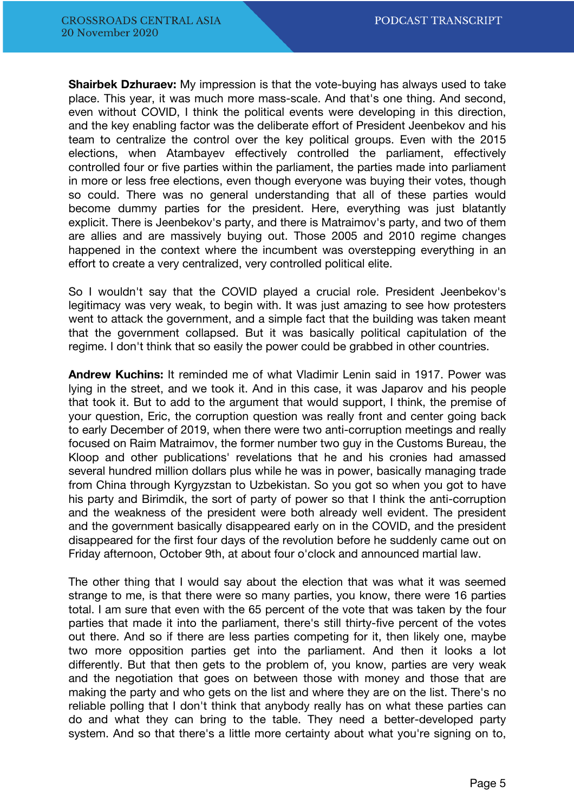**Shairbek Dzhuraev:** My impression is that the vote-buying has always used to take place. This year, it was much more mass-scale. And that's one thing. And second, even without COVID, I think the political events were developing in this direction, and the key enabling factor was the deliberate effort of President Jeenbekov and his team to centralize the control over the key political groups. Even with the 2015 elections, when Atambayev effectively controlled the parliament, effectively controlled four or five parties within the parliament, the parties made into parliament in more or less free elections, even though everyone was buying their votes, though so could. There was no general understanding that all of these parties would become dummy parties for the president. Here, everything was just blatantly explicit. There is Jeenbekov's party, and there is Matraimov's party, and two of them are allies and are massively buying out. Those 2005 and 2010 regime changes happened in the context where the incumbent was overstepping everything in an effort to create a very centralized, very controlled political elite.

So I wouldn't say that the COVID played a crucial role. President Jeenbekov's legitimacy was very weak, to begin with. It was just amazing to see how protesters went to attack the government, and a simple fact that the building was taken meant that the government collapsed. But it was basically political capitulation of the regime. I don't think that so easily the power could be grabbed in other countries.

**Andrew Kuchins:** It reminded me of what Vladimir Lenin said in 1917. Power was lying in the street, and we took it. And in this case, it was Japarov and his people that took it. But to add to the argument that would support, I think, the premise of your question, Eric, the corruption question was really front and center going back to early December of 2019, when there were two anti-corruption meetings and really focused on Raim Matraimov, the former number two guy in the Customs Bureau, the Kloop and other publications' revelations that he and his cronies had amassed several hundred million dollars plus while he was in power, basically managing trade from China through Kyrgyzstan to Uzbekistan. So you got so when you got to have his party and Birimdik, the sort of party of power so that I think the anti-corruption and the weakness of the president were both already well evident. The president and the government basically disappeared early on in the COVID, and the president disappeared for the first four days of the revolution before he suddenly came out on Friday afternoon, October 9th, at about four o'clock and announced martial law.

The other thing that I would say about the election that was what it was seemed strange to me, is that there were so many parties, you know, there were 16 parties total. I am sure that even with the 65 percent of the vote that was taken by the four parties that made it into the parliament, there's still thirty-five percent of the votes out there. And so if there are less parties competing for it, then likely one, maybe two more opposition parties get into the parliament. And then it looks a lot differently. But that then gets to the problem of, you know, parties are very weak and the negotiation that goes on between those with money and those that are making the party and who gets on the list and where they are on the list. There's no reliable polling that I don't think that anybody really has on what these parties can do and what they can bring to the table. They need a better-developed party system. And so that there's a little more certainty about what you're signing on to,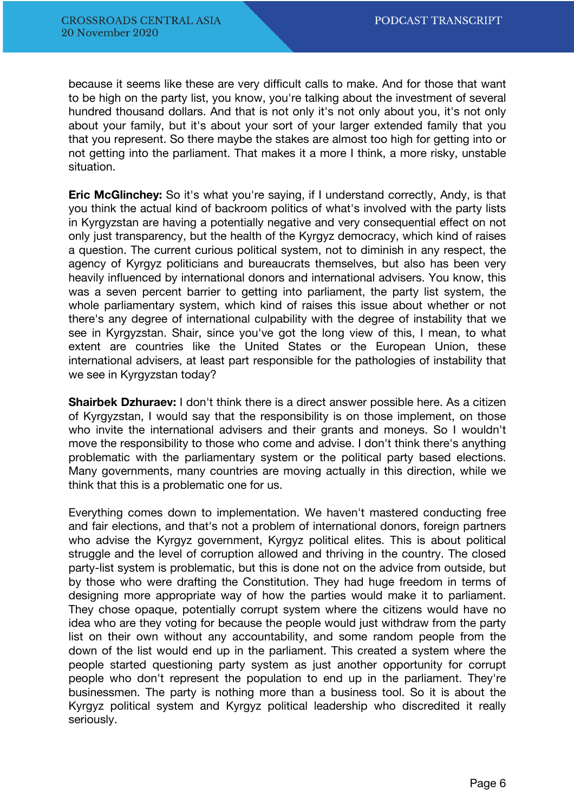because it seems like these are very difficult calls to make. And for those that want to be high on the party list, you know, you're talking about the investment of several hundred thousand dollars. And that is not only it's not only about you, it's not only about your family, but it's about your sort of your larger extended family that you that you represent. So there maybe the stakes are almost too high for getting into or not getting into the parliament. That makes it a more I think, a more risky, unstable situation.

**Eric McGlinchey:** So it's what you're saying, if I understand correctly, Andy, is that you think the actual kind of backroom politics of what's involved with the party lists in Kyrgyzstan are having a potentially negative and very consequential effect on not only just transparency, but the health of the Kyrgyz democracy, which kind of raises a question. The current curious political system, not to diminish in any respect, the agency of Kyrgyz politicians and bureaucrats themselves, but also has been very heavily influenced by international donors and international advisers. You know, this was a seven percent barrier to getting into parliament, the party list system, the whole parliamentary system, which kind of raises this issue about whether or not there's any degree of international culpability with the degree of instability that we see in Kyrgyzstan. Shair, since you've got the long view of this, I mean, to what extent are countries like the United States or the European Union, these international advisers, at least part responsible for the pathologies of instability that we see in Kyrgyzstan today?

**Shairbek Dzhuraev:** I don't think there is a direct answer possible here. As a citizen of Kyrgyzstan, I would say that the responsibility is on those implement, on those who invite the international advisers and their grants and moneys. So I wouldn't move the responsibility to those who come and advise. I don't think there's anything problematic with the parliamentary system or the political party based elections. Many governments, many countries are moving actually in this direction, while we think that this is a problematic one for us.

Everything comes down to implementation. We haven't mastered conducting free and fair elections, and that's not a problem of international donors, foreign partners who advise the Kyrgyz government, Kyrgyz political elites. This is about political struggle and the level of corruption allowed and thriving in the country. The closed party-list system is problematic, but this is done not on the advice from outside, but by those who were drafting the Constitution. They had huge freedom in terms of designing more appropriate way of how the parties would make it to parliament. They chose opaque, potentially corrupt system where the citizens would have no idea who are they voting for because the people would just withdraw from the party list on their own without any accountability, and some random people from the down of the list would end up in the parliament. This created a system where the people started questioning party system as just another opportunity for corrupt people who don't represent the population to end up in the parliament. They're businessmen. The party is nothing more than a business tool. So it is about the Kyrgyz political system and Kyrgyz political leadership who discredited it really seriously.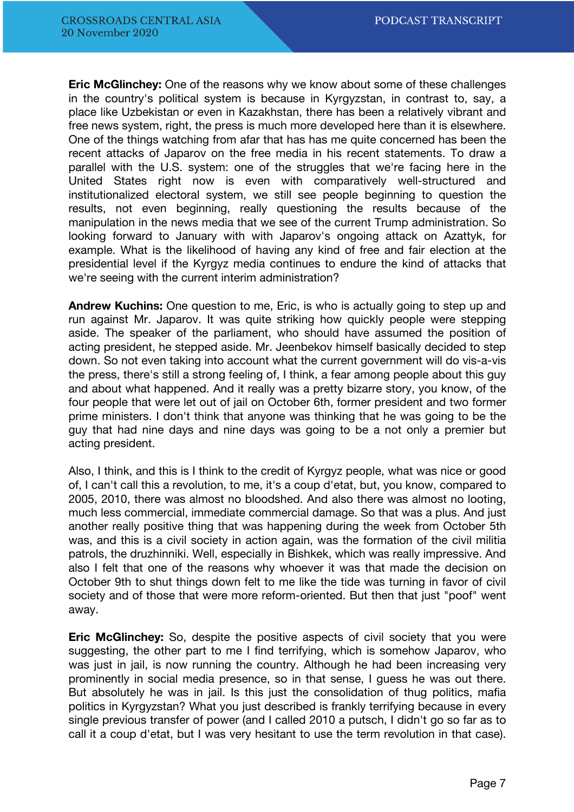**Eric McGlinchey:** One of the reasons why we know about some of these challenges in the country's political system is because in Kyrgyzstan, in contrast to, say, a place like Uzbekistan or even in Kazakhstan, there has been a relatively vibrant and free news system, right, the press is much more developed here than it is elsewhere. One of the things watching from afar that has has me quite concerned has been the recent attacks of Japarov on the free media in his recent statements. To draw a parallel with the U.S. system: one of the struggles that we're facing here in the United States right now is even with comparatively well-structured and institutionalized electoral system, we still see people beginning to question the results, not even beginning, really questioning the results because of the manipulation in the news media that we see of the current Trump administration. So looking forward to January with with Japarov's ongoing attack on Azattyk, for example. What is the likelihood of having any kind of free and fair election at the presidential level if the Kyrgyz media continues to endure the kind of attacks that we're seeing with the current interim administration?

**Andrew Kuchins:** One question to me, Eric, is who is actually going to step up and run against Mr. Japarov. It was quite striking how quickly people were stepping aside. The speaker of the parliament, who should have assumed the position of acting president, he stepped aside. Mr. Jeenbekov himself basically decided to step down. So not even taking into account what the current government will do vis-a-vis the press, there's still a strong feeling of, I think, a fear among people about this guy and about what happened. And it really was a pretty bizarre story, you know, of the four people that were let out of jail on October 6th, former president and two former prime ministers. I don't think that anyone was thinking that he was going to be the guy that had nine days and nine days was going to be a not only a premier but acting president.

Also, I think, and this is I think to the credit of Kyrgyz people, what was nice or good of, I can't call this a revolution, to me, it's a coup d'etat, but, you know, compared to 2005, 2010, there was almost no bloodshed. And also there was almost no looting, much less commercial, immediate commercial damage. So that was a plus. And just another really positive thing that was happening during the week from October 5th was, and this is a civil society in action again, was the formation of the civil militia patrols, the druzhinniki. Well, especially in Bishkek, which was really impressive. And also I felt that one of the reasons why whoever it was that made the decision on October 9th to shut things down felt to me like the tide was turning in favor of civil society and of those that were more reform-oriented. But then that just "poof" went away.

**Eric McGlinchey:** So, despite the positive aspects of civil society that you were suggesting, the other part to me I find terrifying, which is somehow Japarov, who was just in jail, is now running the country. Although he had been increasing very prominently in social media presence, so in that sense, I guess he was out there. But absolutely he was in jail. Is this just the consolidation of thug politics, mafia politics in Kyrgyzstan? What you just described is frankly terrifying because in every single previous transfer of power (and I called 2010 a putsch, I didn't go so far as to call it a coup d'etat, but I was very hesitant to use the term revolution in that case).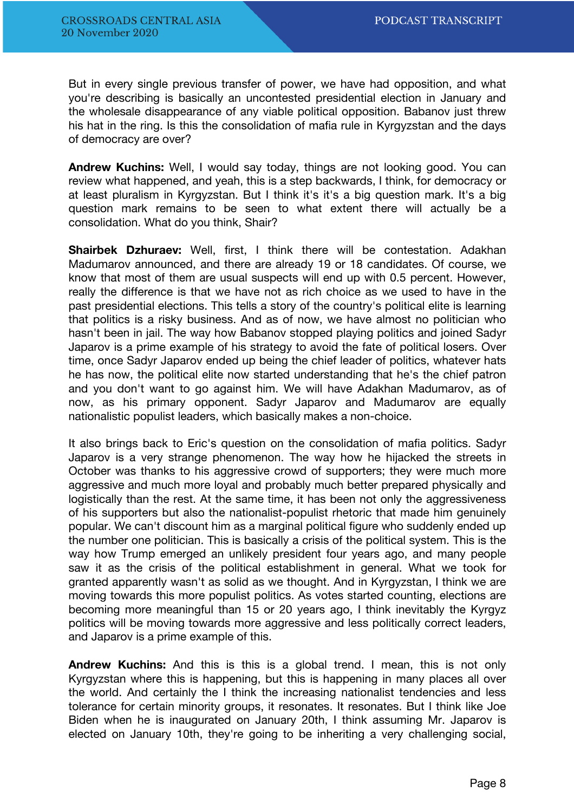But in every single previous transfer of power, we have had opposition, and what you're describing is basically an uncontested presidential election in January and the wholesale disappearance of any viable political opposition. Babanov just threw his hat in the ring. Is this the consolidation of mafia rule in Kyrgyzstan and the days of democracy are over?

**Andrew Kuchins:** Well, I would say today, things are not looking good. You can review what happened, and yeah, this is a step backwards, I think, for democracy or at least pluralism in Kyrgyzstan. But I think it's it's a big question mark. It's a big question mark remains to be seen to what extent there will actually be a consolidation. What do you think, Shair?

**Shairbek Dzhuraev:** Well, first, I think there will be contestation. Adakhan Madumarov announced, and there are already 19 or 18 candidates. Of course, we know that most of them are usual suspects will end up with 0.5 percent. However, really the difference is that we have not as rich choice as we used to have in the past presidential elections. This tells a story of the country's political elite is learning that politics is a risky business. And as of now, we have almost no politician who hasn't been in jail. The way how Babanov stopped playing politics and joined Sadyr Japarov is a prime example of his strategy to avoid the fate of political losers. Over time, once Sadyr Japarov ended up being the chief leader of politics, whatever hats he has now, the political elite now started understanding that he's the chief patron and you don't want to go against him. We will have Adakhan Madumarov, as of now, as his primary opponent. Sadyr Japarov and Madumarov are equally nationalistic populist leaders, which basically makes a non-choice.

It also brings back to Eric's question on the consolidation of mafia politics. Sadyr Japarov is a very strange phenomenon. The way how he hijacked the streets in October was thanks to his aggressive crowd of supporters; they were much more aggressive and much more loyal and probably much better prepared physically and logistically than the rest. At the same time, it has been not only the aggressiveness of his supporters but also the nationalist-populist rhetoric that made him genuinely popular. We can't discount him as a marginal political figure who suddenly ended up the number one politician. This is basically a crisis of the political system. This is the way how Trump emerged an unlikely president four years ago, and many people saw it as the crisis of the political establishment in general. What we took for granted apparently wasn't as solid as we thought. And in Kyrgyzstan, I think we are moving towards this more populist politics. As votes started counting, elections are becoming more meaningful than 15 or 20 years ago, I think inevitably the Kyrgyz politics will be moving towards more aggressive and less politically correct leaders, and Japarov is a prime example of this.

**Andrew Kuchins:** And this is this is a global trend. I mean, this is not only Kyrgyzstan where this is happening, but this is happening in many places all over the world. And certainly the I think the increasing nationalist tendencies and less tolerance for certain minority groups, it resonates. It resonates. But I think like Joe Biden when he is inaugurated on January 20th, I think assuming Mr. Japarov is elected on January 10th, they're going to be inheriting a very challenging social,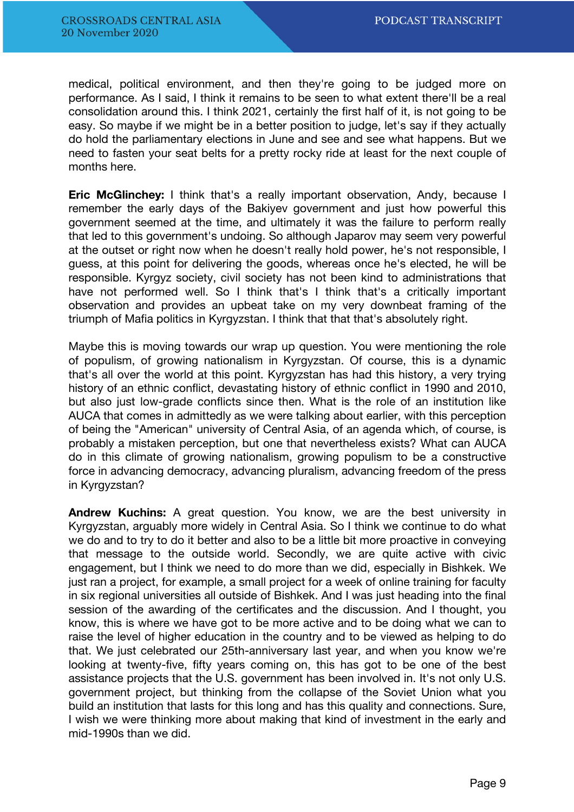medical, political environment, and then they're going to be judged more on performance. As I said, I think it remains to be seen to what extent there'll be a real consolidation around this. I think 2021, certainly the first half of it, is not going to be easy. So maybe if we might be in a better position to judge, let's say if they actually do hold the parliamentary elections in June and see and see what happens. But we need to fasten your seat belts for a pretty rocky ride at least for the next couple of months here.

**Eric McGlinchey:** I think that's a really important observation, Andy, because I remember the early days of the Bakiyev government and just how powerful this government seemed at the time, and ultimately it was the failure to perform really that led to this government's undoing. So although Japarov may seem very powerful at the outset or right now when he doesn't really hold power, he's not responsible, I guess, at this point for delivering the goods, whereas once he's elected, he will be responsible. Kyrgyz society, civil society has not been kind to administrations that have not performed well. So I think that's I think that's a critically important observation and provides an upbeat take on my very downbeat framing of the triumph of Mafia politics in Kyrgyzstan. I think that that that's absolutely right.

Maybe this is moving towards our wrap up question. You were mentioning the role of populism, of growing nationalism in Kyrgyzstan. Of course, this is a dynamic that's all over the world at this point. Kyrgyzstan has had this history, a very trying history of an ethnic conflict, devastating history of ethnic conflict in 1990 and 2010, but also just low-grade conflicts since then. What is the role of an institution like AUCA that comes in admittedly as we were talking about earlier, with this perception of being the "American" university of Central Asia, of an agenda which, of course, is probably a mistaken perception, but one that nevertheless exists? What can AUCA do in this climate of growing nationalism, growing populism to be a constructive force in advancing democracy, advancing pluralism, advancing freedom of the press in Kyrgyzstan?

**Andrew Kuchins:** A great question. You know, we are the best university in Kyrgyzstan, arguably more widely in Central Asia. So I think we continue to do what we do and to try to do it better and also to be a little bit more proactive in conveying that message to the outside world. Secondly, we are quite active with civic engagement, but I think we need to do more than we did, especially in Bishkek. We just ran a project, for example, a small project for a week of online training for faculty in six regional universities all outside of Bishkek. And I was just heading into the final session of the awarding of the certificates and the discussion. And I thought, you know, this is where we have got to be more active and to be doing what we can to raise the level of higher education in the country and to be viewed as helping to do that. We just celebrated our 25th-anniversary last year, and when you know we're looking at twenty-five, fifty years coming on, this has got to be one of the best assistance projects that the U.S. government has been involved in. It's not only U.S. government project, but thinking from the collapse of the Soviet Union what you build an institution that lasts for this long and has this quality and connections. Sure, I wish we were thinking more about making that kind of investment in the early and mid-1990s than we did.